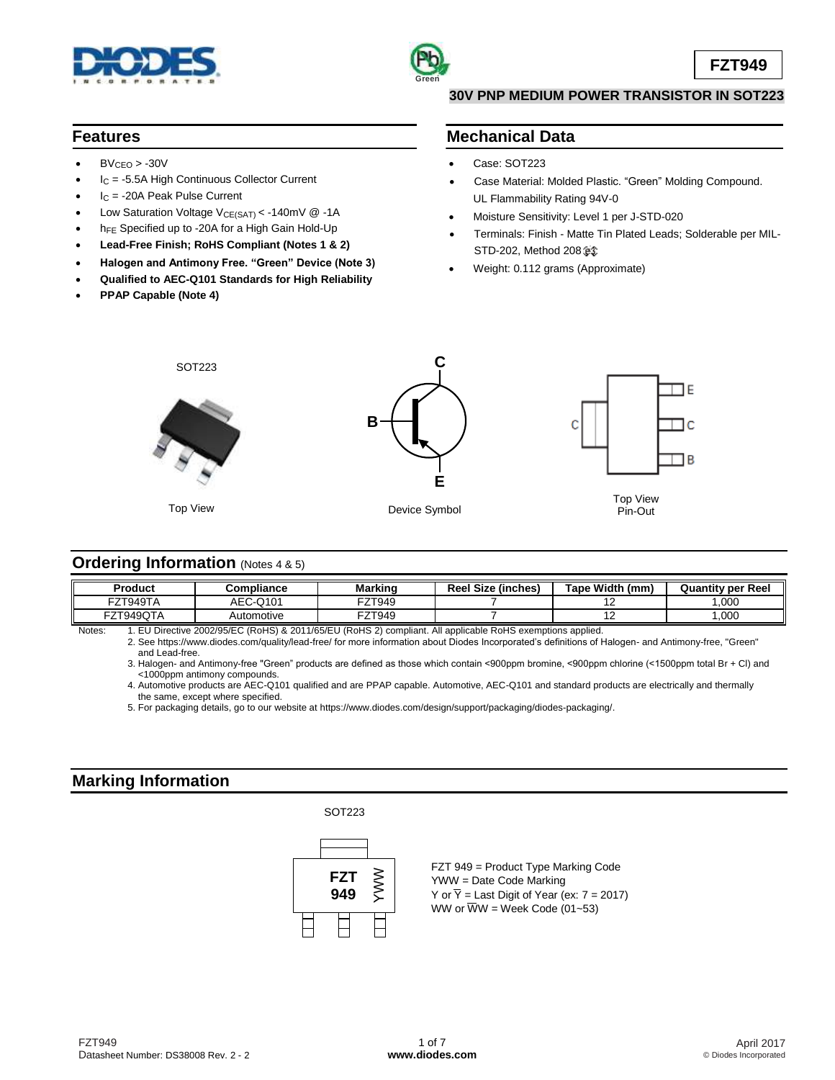



#### **30V PNP MEDIUM POWER TRANSISTOR IN SOT223**

#### **Features**

- $BV_{CEO} > -30V$
- I<sup>C</sup> = -5.5A High Continuous Collector Current
- I<sup>C</sup> = -20A Peak Pulse Current
- Low Saturation Voltage  $V_{CE(SAT)} < -140$ mV @ -1A
- h<sub>FE</sub> Specified up to -20A for a High Gain Hold-Up
- **Lead-Free Finish; RoHS Compliant (Notes 1 & 2)**
- **Halogen and Antimony Free. "Green" Device (Note 3)**
- **Qualified to AEC-Q101 Standards for High Reliability**
- **PPAP Capable (Note 4)**

#### **Mechanical Data**

- Case: SOT223
- Case Material: Molded Plastic. "Green" Molding Compound. UL Flammability Rating 94V-0
- Moisture Sensitivity: Level 1 per J-STD-020
- Terminals: Finish Matte Tin Plated Leads; Solderable per MIL-STD-202, Method 208
- Weight: 0.112 grams (Approximate)



#### **Ordering Information** (Notes 4 & 5)

| Product   | Compliance | Marking | (inches)<br><b>Reel Size</b> | Tape Width (mm) | <b>Quantity per Reel</b> |
|-----------|------------|---------|------------------------------|-----------------|--------------------------|
| FZT949TA  | AEC-Q101   | FZT949  |                              | . .             | ,000                     |
| FZT949QTA | Automotive | FZT949  |                              | . .             | ,000                     |

Notes: 1. EU Directive 2002/95/EC (RoHS) & 2011/65/EU (RoHS 2) compliant. All applicable RoHS exemptions applied.

2. See <https://www.diodes.com/quality/lead-free/> for more information about Diodes Incorporated's definitions of Halogen- and Antimony-free, "Green" and Lead-free.

3. Halogen- and Antimony-free "Green" products are defined as those which contain <900ppm bromine, <900ppm chlorine (<1500ppm total Br + Cl) and <1000ppm antimony compounds.

4. Automotive products are AEC-Q101 qualified and are PPAP capable. Automotive, AEC-Q101 and standard products are electrically and thermally the same, except where specified.

5. For packaging details, go to our website at [https://www.diodes.com/design/support/packaging/diodes-packaging/.](https://www.diodes.com/design/support/packaging/diodes-packaging/)

#### **Marking Information**



FZT 949 = Product Type Marking Code YWW = Date Code Marking Y or  $\overline{Y}$  = Last Digit of Year (ex:  $7 = 2017$ ) WW or  $\overline{W}W$  = Week Code (01~53)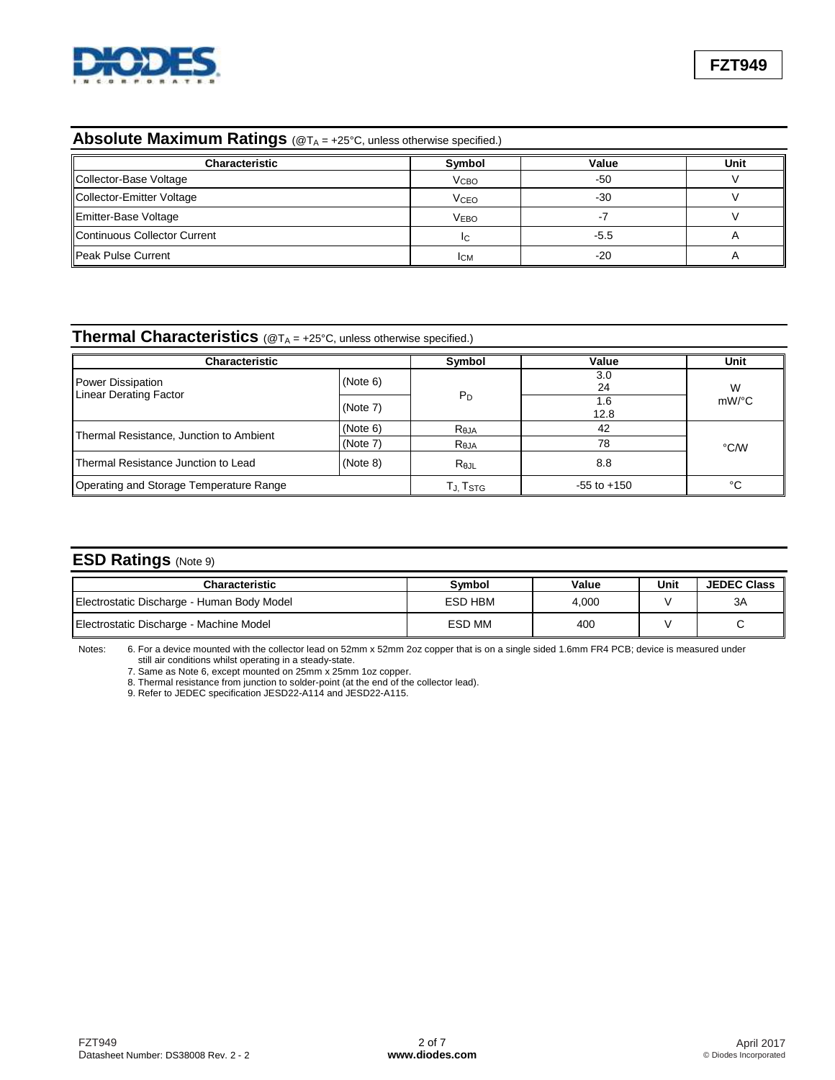

### **Absolute Maximum Ratings** (@TA = +25°C, unless otherwise specified.)

| <b>Characteristic</b>        | Symbol                 | Value  | Unit |
|------------------------------|------------------------|--------|------|
| Collector-Base Voltage       | V <sub>CBO</sub>       | $-50$  |      |
| Collector-Emitter Voltage    | <b>V<sub>CEO</sub></b> | $-30$  |      |
| Emitter-Base Voltage         | <b>VEBO</b>            |        |      |
| Continuous Collector Current | ΙC                     | $-5.5$ |      |
| Peak Pulse Current           | <b>ICM</b>             | $-20$  |      |

# **Thermal Characteristics** (@T<sub>A</sub> = +25°C, unless otherwise specified.)

| Characteristic                          | Symbol   | Value                  | Unit            |          |  |
|-----------------------------------------|----------|------------------------|-----------------|----------|--|
| <b>Power Dissipation</b>                | (Note 6) |                        | 3.0<br>24       | W        |  |
| <b>Linear Derating Factor</b>           | (Note 7) | $P_D$                  | 1.6<br>12.8     | $mW$ /°C |  |
|                                         | (Note 6) | $R_{\theta$ JA         | 42              | °C/W     |  |
| Thermal Resistance, Junction to Ambient | (Note 7) | $R_{\theta$ JA         | 78              |          |  |
| Thermal Resistance Junction to Lead     | (Note 8) | $R_{\theta \text{JL}}$ | 8.8             |          |  |
| Operating and Storage Temperature Range |          | TJ, T <sub>STG</sub>   | $-55$ to $+150$ | °C       |  |

### **ESD Ratings** (Note 9)

| Characteristic                             | Symbol  | Value | Unit | <b>JEDEC Class</b> |
|--------------------------------------------|---------|-------|------|--------------------|
| Electrostatic Discharge - Human Body Model | ESD HBM | 4.000 |      | 3A                 |
| Electrostatic Discharge - Machine Model    | ESD MM  | 400   |      |                    |

Notes: 6. For a device mounted with the collector lead on 52mm x 52mm 2oz copper that is on a single sided 1.6mm FR4 PCB; device is measured under still air conditions whilst operating in a steady-state.

7. Same as Note 6, except mounted on 25mm x 25mm 1oz copper.

8. Thermal resistance from junction to solder-point (at the end of the collector lead).

9. Refer to JEDEC specification JESD22-A114 and JESD22-A115.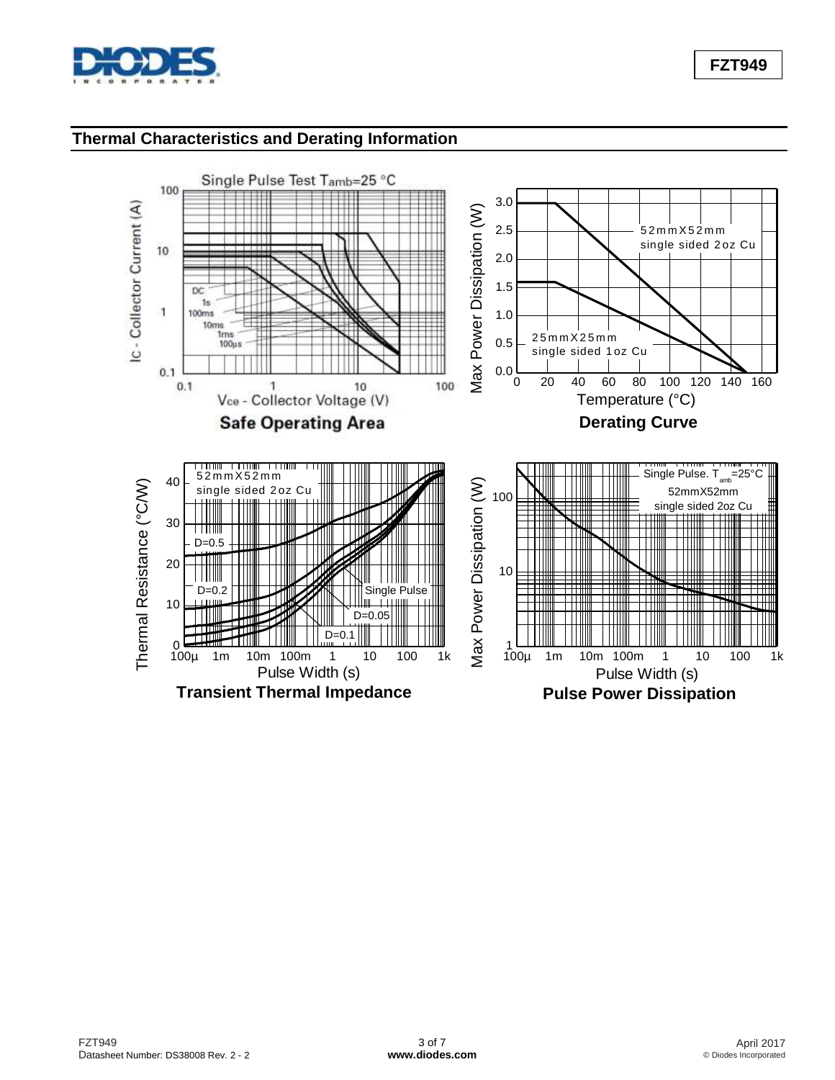

## **FZT949**

## **Thermal Characteristics and Derating Information**

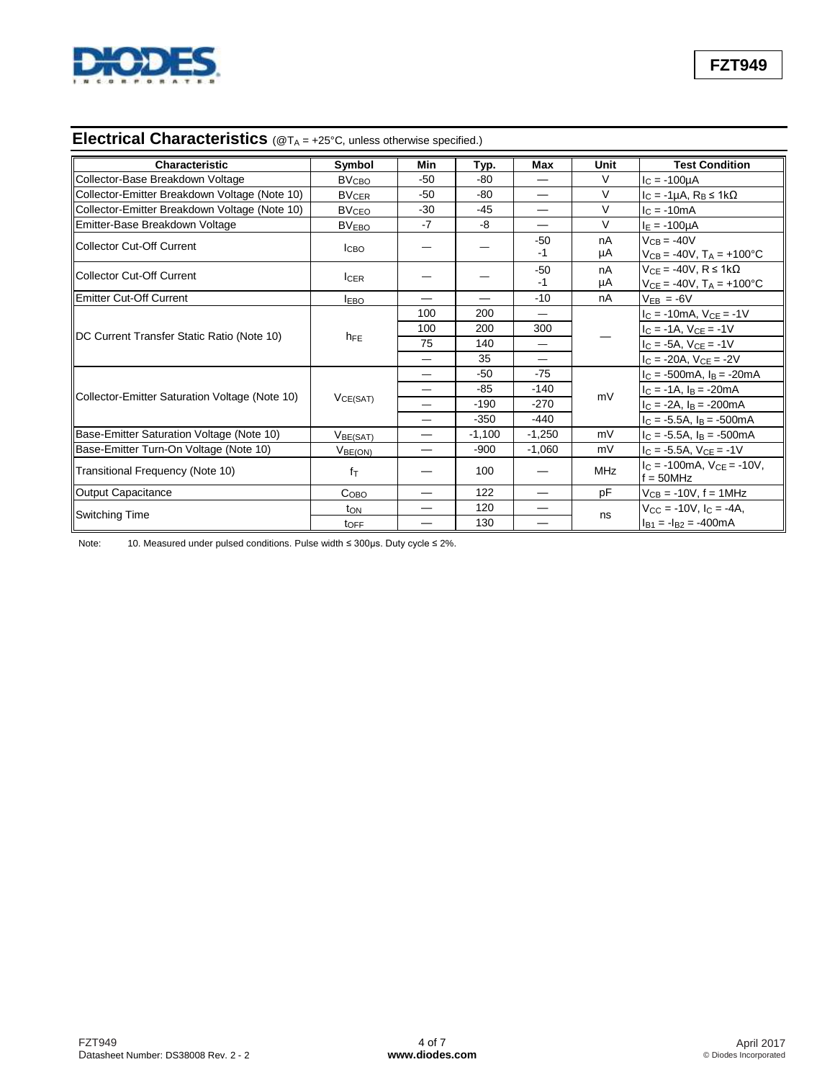

# **Electrical Characteristics** (@T<sup>A</sup> = +25°C, unless otherwise specified.)

| <b>Characteristic</b>                          | Symbol                  | Min                      | Typ.     | Max      | Unit       | <b>Test Condition</b>                            |
|------------------------------------------------|-------------------------|--------------------------|----------|----------|------------|--------------------------------------------------|
| Collector-Base Breakdown Voltage               | <b>BV<sub>CBO</sub></b> | $-50$                    | $-80$    |          | $\vee$     | $I_C = -100 \mu A$                               |
| Collector-Emitter Breakdown Voltage (Note 10)  | <b>BV<sub>CER</sub></b> | $-50$                    | $-80$    |          | $\vee$     | $I_C = -1\mu A$ , $R_B \le 1k\Omega$             |
| Collector-Emitter Breakdown Voltage (Note 10)  | <b>BV<sub>CEO</sub></b> | $-30$                    | $-45$    |          | $\vee$     | $I_C = -10mA$                                    |
| Emitter-Base Breakdown Voltage                 | BV <sub>EBO</sub>       | $-7$                     | -8       |          | $\vee$     | $I_E = -100 \mu A$                               |
| Collector Cut-Off Current                      |                         |                          |          | $-50$    | nA         | $V_{CB} = -40V$                                  |
|                                                | <b>ICBO</b>             |                          |          | $-1$     | μA         | $V_{CB} = -40V$ , $T_A = +100^{\circ}C$          |
| Collector Cut-Off Current                      |                         |                          |          | $-50$    | nA         | $V_{CE} = -40V$ , $R \le 1k\Omega$               |
|                                                | <b>ICER</b>             |                          |          | $-1$     | μA         | $V_{CE} = -40V$ , $T_A = +100^{\circ}C$          |
| Emitter Cut-Off Current                        | <b>IEBO</b>             |                          |          | $-10$    | nA         | $V_{EB} = -6V$                                   |
|                                                |                         | 100                      | 200      | —        |            | $I_C = -10mA$ , $V_{CE} = -1V$                   |
|                                                |                         | 100                      | 200      | 300      |            | $I_C = -1A$ , $V_{CE} = -1V$                     |
| DC Current Transfer Static Ratio (Note 10)     | $h_{FE}$                | 75                       | 140      | —        |            | $I_C = -5A$ , $V_{CE} = -1V$                     |
|                                                |                         |                          | 35       | —        |            | $I_C = -20A$ , $V_{CE} = -2V$                    |
|                                                | $V_{CE(SAT)}$           |                          | $-50$    | $-75$    | mV         | $I_C = -500 \text{mA}$ , $I_B = -20 \text{mA}$   |
|                                                |                         |                          | $-85$    | $-140$   |            | $I_C = -1A$ , $I_B = -20mA$                      |
| Collector-Emitter Saturation Voltage (Note 10) |                         |                          | $-190$   | $-270$   |            | $I_C = -2A$ , $I_B = -200mA$                     |
|                                                |                         |                          | $-350$   | $-440$   |            | $I_C = -5.5A$ , $I_B = -500mA$                   |
| Base-Emitter Saturation Voltage (Note 10)      | V <sub>BE(SAT)</sub>    |                          | $-1,100$ | $-1,250$ | mV         | $I_C = -5.5A$ , $I_B = -500mA$                   |
| Base-Emitter Turn-On Voltage (Note 10)         | V <sub>BE(ON)</sub>     | $\overline{\phantom{0}}$ | $-900$   | $-1,060$ | mV         | $I_C = -5.5A$ , $V_{CE} = -1V$                   |
| Transitional Frequency (Note 10)               | $f_{\text{T}}$          |                          | 100      |          | <b>MHz</b> | $c = -100$ mA. $V_{CF} = -10V$ .<br>$f = 50$ MHz |
| Output Capacitance                             | Co <sub>BO</sub>        |                          | 122      |          | pF         | $V_{CB} = -10V, f = 1MHz$                        |
|                                                | t <sub>ON</sub>         |                          | 120      |          |            | $V_{CC} = -10V$ , $I_C = -4A$ ,                  |
| <b>Switching Time</b>                          | toff                    |                          | 130      |          | ns         | $I_{B1} = -I_{B2} = -400 \text{mA}$              |

Note: 10. Measured under pulsed conditions. Pulse width ≤ 300μs. Duty cycle ≤ 2%.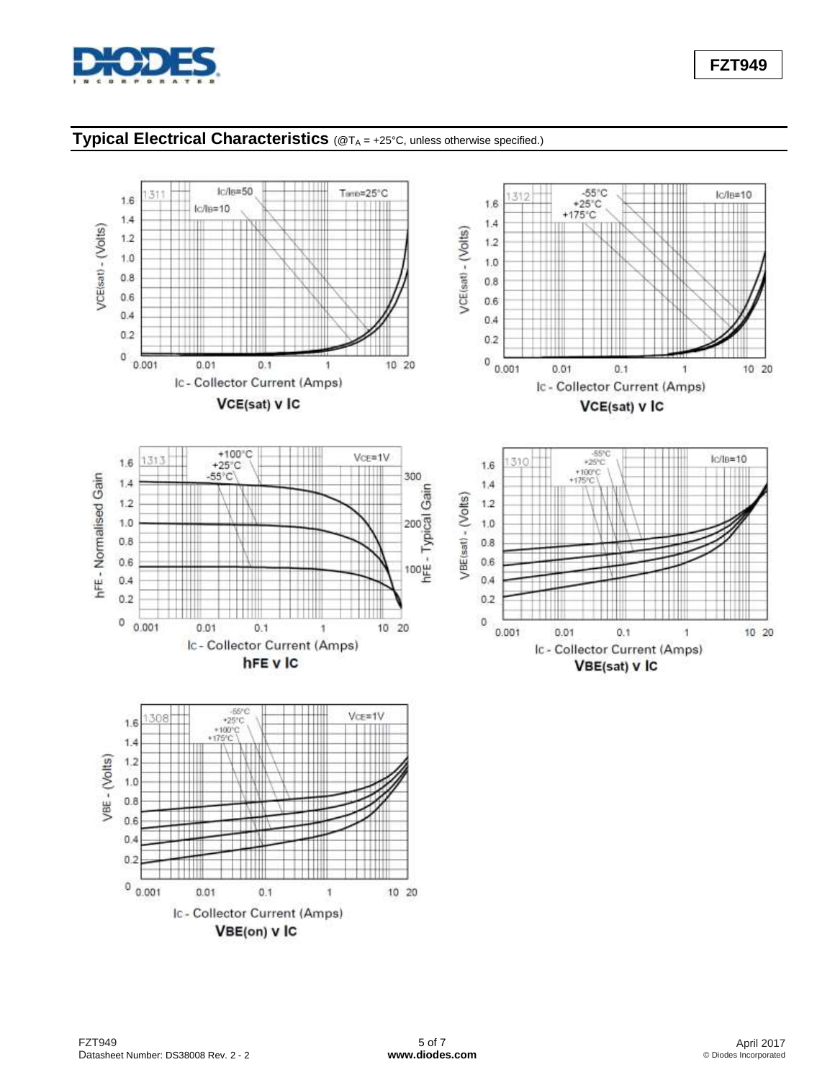

### **Typical Electrical Characteristics** (@T<sup>A</sup> = +25°C, unless otherwise specified.)

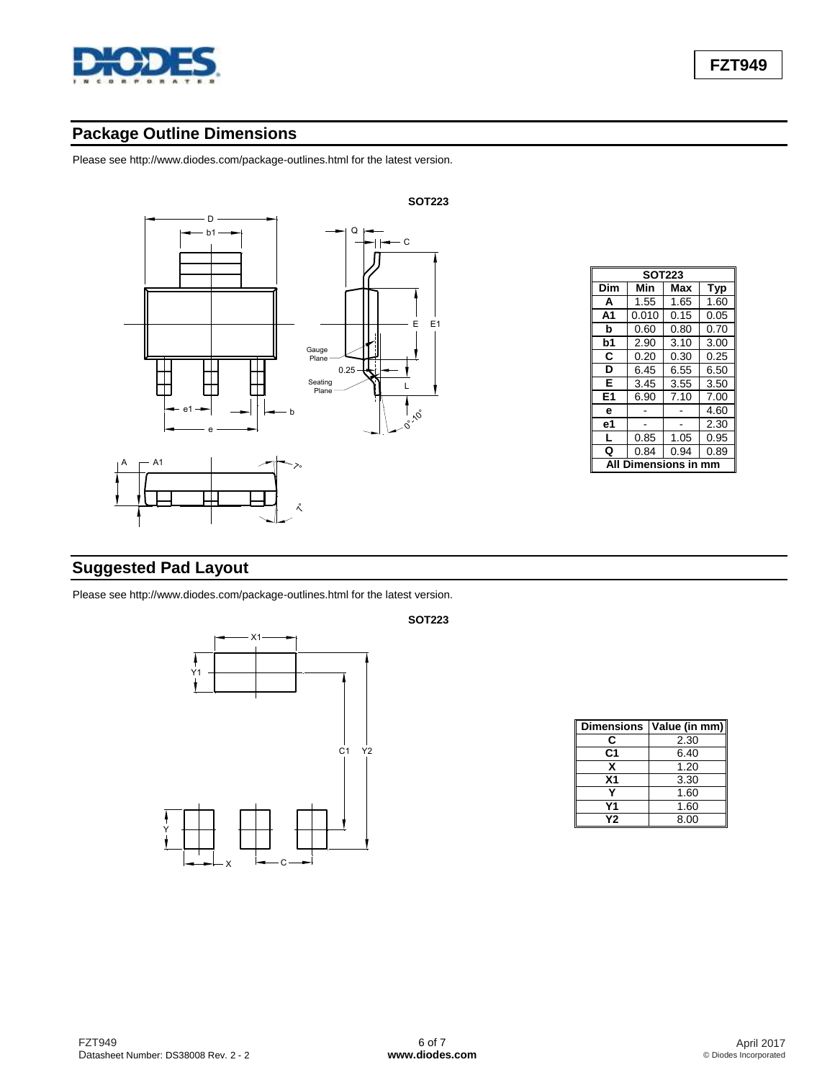

# **Package Outline Dimensions**

Please see [http://www.diodes.com/package-outlines.html fo](http://www.diodes.com/package-outlines.html)r the latest version.



| <b>SOT223</b>            |       |      |      |  |  |  |
|--------------------------|-------|------|------|--|--|--|
| Dim<br>Min<br>Typ<br>Max |       |      |      |  |  |  |
| A                        | 1.55  | 1.65 | 1.60 |  |  |  |
| A <sub>1</sub>           | 0.010 | 0.15 | 0.05 |  |  |  |
| b                        | 0.60  | 0.80 | 0.70 |  |  |  |
| b1                       | 2.90  | 3.10 | 3.00 |  |  |  |
| С                        | 0.20  | 0.30 | 0.25 |  |  |  |
| D                        | 6.45  | 6.55 | 6.50 |  |  |  |
| Е                        | 3.45  | 3.55 | 3.50 |  |  |  |
| E1                       | 6.90  | 7.10 | 7.00 |  |  |  |
| е                        |       |      | 4.60 |  |  |  |
| е1                       |       |      | 2.30 |  |  |  |
| L                        | 0.85  | 1.05 | 0.95 |  |  |  |
| Q                        | 0.84  | 0.94 | 0.89 |  |  |  |
| ensions                  |       |      |      |  |  |  |

# **Suggested Pad Layout**

Please see [http://www.diodes.com/package-outlines.html fo](http://www.diodes.com/package-outlines.html)r the latest version.



**Dimensions Value (in mm)**  $\begin{array}{|c|c|c|}\n\hline\n\text{C} & 2.30 \\
\hline\n\text{C1} & 6.40 \\
\hline\n\end{array}$ **C1** 6.40  $\begin{array}{|c|c|c|}\n \hline\n X & 1.20 \\
 \hline\n X1 & 3.30\n \end{array}$ **X1** 3.30<br>**Y** 1.60 **Y** 1.60<br>**Y1** 1.60 **Y1** 1.60<br>**Y2** 8.00 **Y2** 8.00

**SOT223**